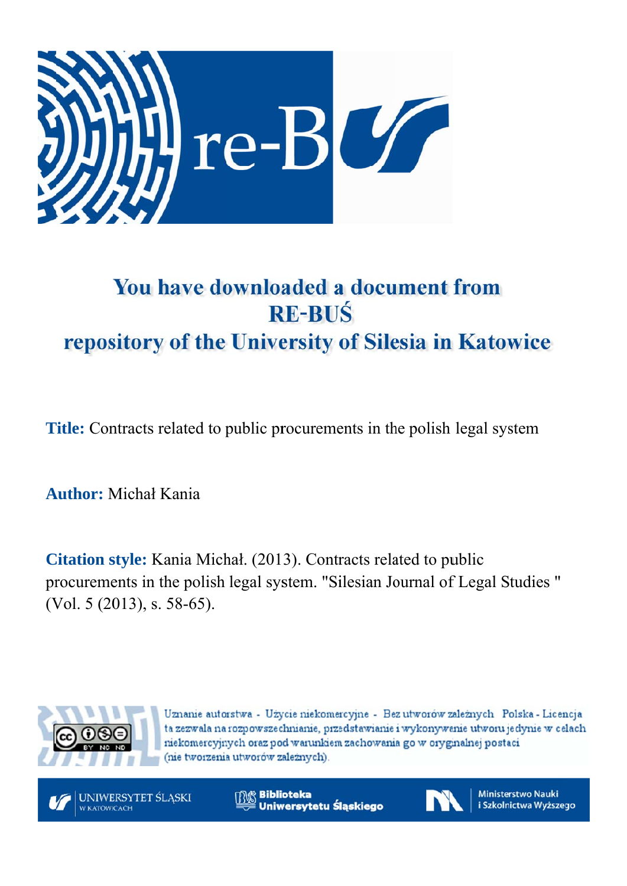

# You have downloaded a document from **RE-BUŚ** repository of the University of Silesia in Katowice

**Title:** Contracts related to public procurements in the polish legal system

**A Author:** M Michał K Kania

**Citation style:** Kania Michał. (2013). Contracts related to public procurements in the polish legal system. "Silesian Journal of Legal Studies" (Vol. 5 (2013), s. 58-65).



Uznanie autorstwa - Użycie niekomercyjne - Bez utworów zależnych Polska - Licencja ta zezwala na rozpowszechnianie, przedstawianie i wykonywanie utworu jedynie w celach niekomercyjnych oraz pod warunkiem zachowania go w oryginalnej postaci (nie tworzenia utworów zależnych).

UNIWERSYTET ŚLĄSKI **V KATOWICACH** 

**Biblioteka** Uniwersytetu Śląskiego



**Ministerstwo Nauki** i Szkolnictwa Wyższego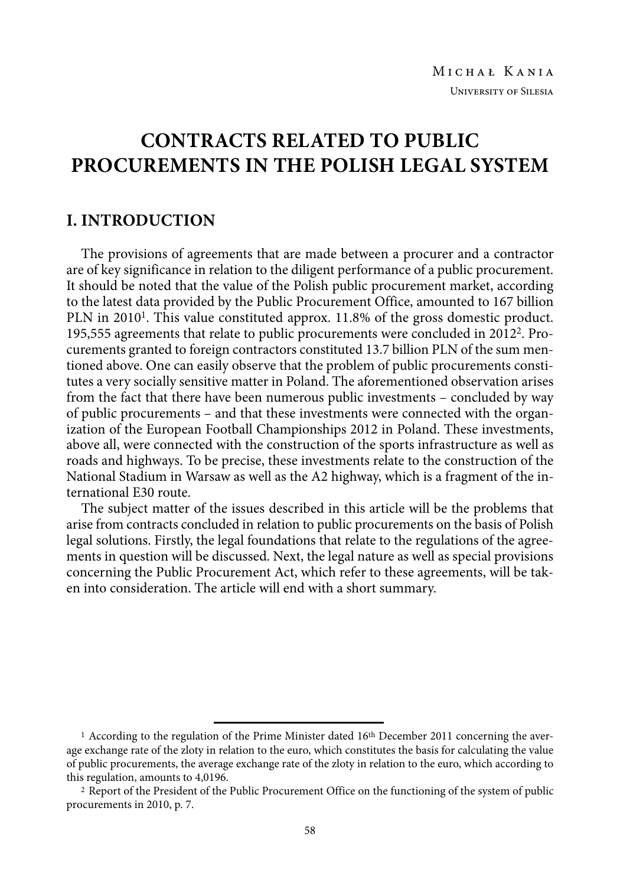# **CONTRACTS RELATED TO PUBLIC PROCUREMENTS IN THE POLISH LEGAL SYSTEM**

#### **I. INTRODUCTION**

The provisions of agreements that are made between a procurer and a contractor are of key significance in relation to the diligent performance of a public procurement. It should be noted that the value of the Polish public procurement market, according to the latest data provided by the Public Procurement Office, amounted to 167 billion PLN in 20101. This value constituted approx. 11.8% of the gross domestic product. 195,555 agreements that relate to public procurements were concluded in 20122. Procurements granted to foreign contractors constituted 13.7 billion PLN of the sum mentioned above. One can easily observe that the problem of public procurements constitutes a very socially sensitive matter in Poland. The aforementioned observation arises from the fact that there have been numerous public investments – concluded by way of public procurements – and that these investments were connected with the organization of the European Football Championships 2012 in Poland. These investments, above all, were connected with the construction of the sports infrastructure as well as roads and highways. To be precise, these investments relate to the construction of the National Stadium in Warsaw as well as the A2 highway, which is a fragment of the international E30 route.

The subject matter of the issues described in this article will be the problems that arise from contracts concluded in relation to public procurements on the basis of Polish legal solutions. Firstly, the legal foundations that relate to the regulations of the agreements in question will be discussed. Next, the legal nature as well as special provisions concerning the Public Procurement Act, which refer to these agreements, will be taken into consideration. The article will end with a short summary.

<sup>&</sup>lt;sup>1</sup> According to the regulation of the Prime Minister dated 16<sup>th</sup> December 2011 concerning the average exchange rate of the zloty in relation to the euro, which constitutes the basis for calculating the value of public procurements, the average exchange rate of the zloty in relation to the euro, which according to this regulation, amounts to 4,0196.

 <sup>2</sup> Report of the President of the Public Procurement Office on the functioning of the system of public procurements in 2010, p. 7.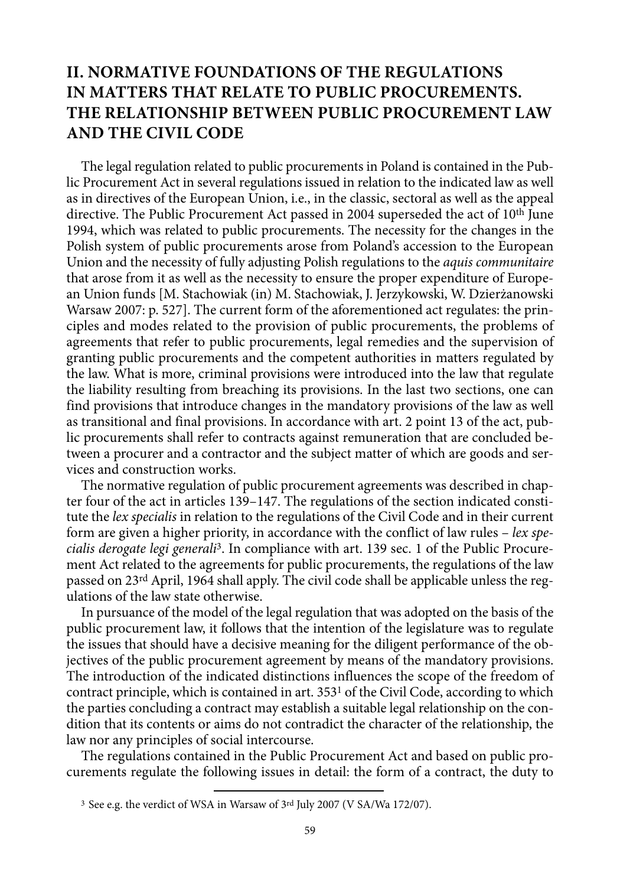## **II. NORMATIVE FOUNDATIONS OF THE REGULATIONS IN MATTERS THAT RELATE TO PUBLIC PROCUREMENTS. THE RELATIONSHIP BETWEEN PUBLIC PROCUREMENT LAW AND THE CIVIL CODE**

The legal regulation related to public procurements in Poland is contained in the Public Procurement Act in several regulations issued in relation to the indicated law as well as in directives of the European Union, i.e., in the classic, sectoral as well as the appeal directive. The Public Procurement Act passed in 2004 superseded the act of 10th June 1994, which was related to public procurements. The necessity for the changes in the Polish system of public procurements arose from Poland's accession to the European Union and the necessity of fully adjusting Polish regulations to the *aquis communitaire*  that arose from it as well as the necessity to ensure the proper expenditure of European Union funds [M. Stachowiak (in) M. Stachowiak, J. Jerzykowski, W. Dzierżanowski Warsaw 2007: p. 527]. The current form of the aforementioned act regulates: the principles and modes related to the provision of public procurements, the problems of agreements that refer to public procurements, legal remedies and the supervision of granting public procurements and the competent authorities in matters regulated by the law. What is more, criminal provisions were introduced into the law that regulate the liability resulting from breaching its provisions. In the last two sections, one can find provisions that introduce changes in the mandatory provisions of the law as well as transitional and final provisions. In accordance with art. 2 point 13 of the act, public procurements shall refer to contracts against remuneration that are concluded between a procurer and a contractor and the subject matter of which are goods and services and construction works.

The normative regulation of public procurement agreements was described in chapter four of the act in articles 139–147. The regulations of the section indicated constitute the *lex specialis* in relation to the regulations of the Civil Code and in their current form are given a higher priority, in accordance with the conflict of law rules – *lex specialis derogate legi generali*3. In compliance with art. 139 sec. 1 of the Public Procurement Act related to the agreements for public procurements, the regulations of the law passed on 23rd April, 1964 shall apply. The civil code shall be applicable unless the regulations of the law state otherwise.

In pursuance of the model of the legal regulation that was adopted on the basis of the public procurement law, it follows that the intention of the legislature was to regulate the issues that should have a decisive meaning for the diligent performance of the objectives of the public procurement agreement by means of the mandatory provisions. The introduction of the indicated distinctions influences the scope of the freedom of contract principle, which is contained in art. 3531 of the Civil Code, according to which the parties concluding a contract may establish a suitable legal relationship on the condition that its contents or aims do not contradict the character of the relationship, the law nor any principles of social intercourse.

The regulations contained in the Public Procurement Act and based on public procurements regulate the following issues in detail: the form of a contract, the duty to

 <sup>3</sup> See e.g. the verdict of WSA in Warsaw of 3rd July 2007 (V SA/Wa 172/07).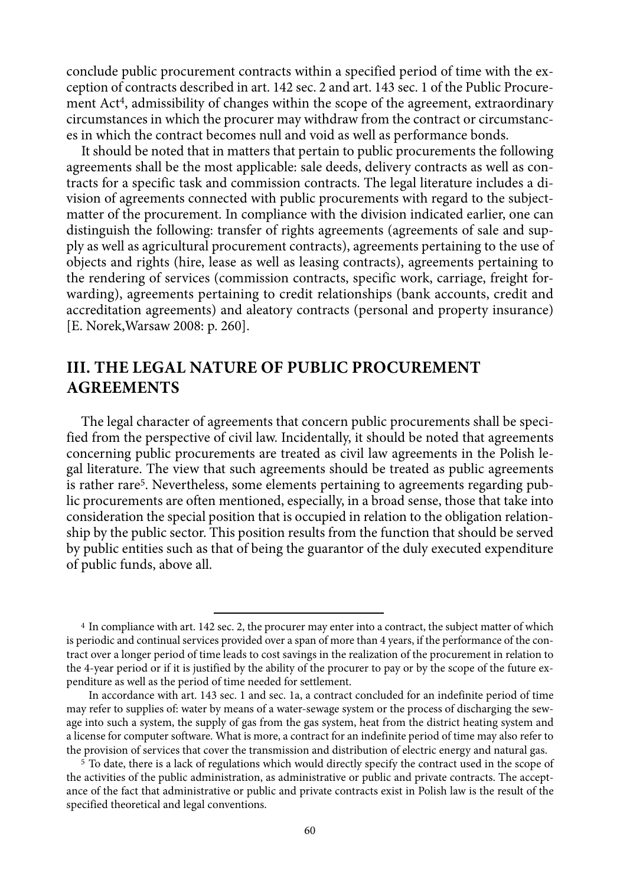conclude public procurement contracts within a specified period of time with the exception of contracts described in art. 142 sec. 2 and art. 143 sec. 1 of the Public Procurement Act4, admissibility of changes within the scope of the agreement, extraordinary circumstances in which the procurer may withdraw from the contract or circumstances in which the contract becomes null and void as well as performance bonds.

It should be noted that in matters that pertain to public procurements the following agreements shall be the most applicable: sale deeds, delivery contracts as well as contracts for a specific task and commission contracts. The legal literature includes a division of agreements connected with public procurements with regard to the subjectmatter of the procurement. In compliance with the division indicated earlier, one can distinguish the following: transfer of rights agreements (agreements of sale and supply as well as agricultural procurement contracts), agreements pertaining to the use of objects and rights (hire, lease as well as leasing contracts), agreements pertaining to the rendering of services (commission contracts, specific work, carriage, freight forwarding), agreements pertaining to credit relationships (bank accounts, credit and accreditation agreements) and aleatory contracts (personal and property insurance) [E. Norek,Warsaw 2008: p. 260].

#### **III. THE LEGAL NATURE OF PUBLIC PROCUREMENT AGREEMENTS**

The legal character of agreements that concern public procurements shall be specified from the perspective of civil law. Incidentally, it should be noted that agreements concerning public procurements are treated as civil law agreements in the Polish legal literature. The view that such agreements should be treated as public agreements is rather rare<sup>5</sup>. Nevertheless, some elements pertaining to agreements regarding public procurements are often mentioned, especially, in a broad sense, those that take into consideration the special position that is occupied in relation to the obligation relationship by the public sector. This position results from the function that should be served by public entities such as that of being the guarantor of the duly executed expenditure of public funds, above all.

 <sup>4</sup> In compliance with art. 142 sec. 2, the procurer may enter into a contract, the subject matter of which is periodic and continual services provided over a span of more than 4 years, if the performance of the contract over a longer period of time leads to cost savings in the realization of the procurement in relation to the 4-year period or if it is justified by the ability of the procurer to pay or by the scope of the future expenditure as well as the period of time needed for settlement.

In accordance with art. 143 sec. 1 and sec. 1a, a contract concluded for an indefinite period of time may refer to supplies of: water by means of a water-sewage system or the process of discharging the sewage into such a system, the supply of gas from the gas system, heat from the district heating system and a license for computer software. What is more, a contract for an indefinite period of time may also refer to the provision of services that cover the transmission and distribution of electric energy and natural gas. 5 To date, there is a lack of regulations which would directly specify the contract used in the scope of

the activities of the public administration, as administrative or public and private contracts. The acceptance of the fact that administrative or public and private contracts exist in Polish law is the result of the specified theoretical and legal conventions.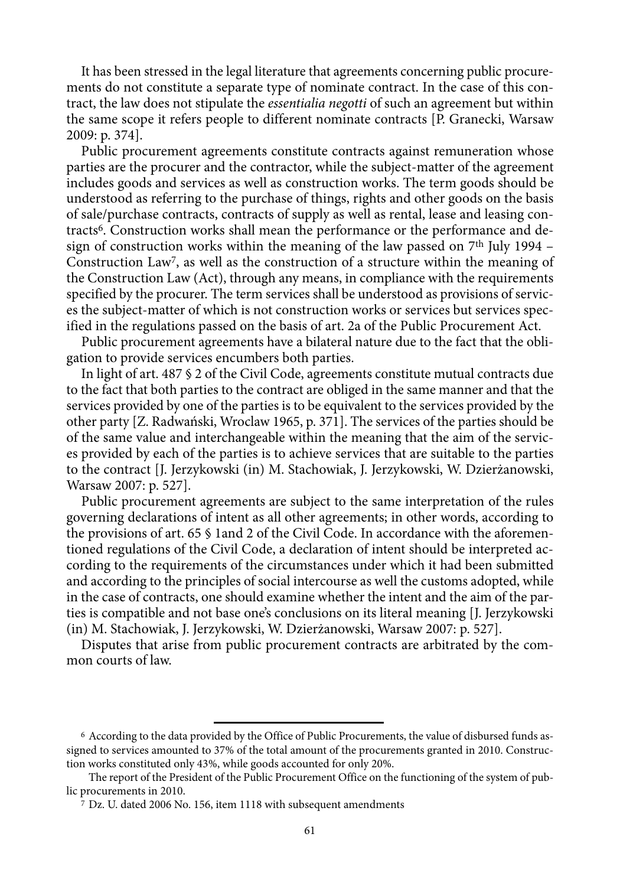It has been stressed in the legal literature that agreements concerning public procurements do not constitute a separate type of nominate contract. In the case of this contract, the law does not stipulate the *essentialia negotti* of such an agreement but within the same scope it refers people to different nominate contracts [P. Granecki, Warsaw 2009: p. 374].

Public procurement agreements constitute contracts against remuneration whose parties are the procurer and the contractor, while the subject-matter of the agreement includes goods and services as well as construction works. The term goods should be understood as referring to the purchase of things, rights and other goods on the basis of sale/purchase contracts, contracts of supply as well as rental, lease and leasing contracts<sup>6</sup>. Construction works shall mean the performance or the performance and design of construction works within the meaning of the law passed on  $7<sup>th</sup>$  July 1994 – Construction Law7, as well as the construction of a structure within the meaning of the Construction Law (Act), through any means, in compliance with the requirements specified by the procurer. The term services shall be understood as provisions of services the subject-matter of which is not construction works or services but services specified in the regulations passed on the basis of art. 2a of the Public Procurement Act.

Public procurement agreements have a bilateral nature due to the fact that the obligation to provide services encumbers both parties.

In light of art. 487 § 2 of the Civil Code, agreements constitute mutual contracts due to the fact that both parties to the contract are obliged in the same manner and that the services provided by one of the parties is to be equivalent to the services provided by the other party [Z. Radwański, Wroclaw 1965, p. 371]. The services of the parties should be of the same value and interchangeable within the meaning that the aim of the services provided by each of the parties is to achieve services that are suitable to the parties to the contract [J. Jerzykowski (in) M. Stachowiak, J. Jerzykowski, W. Dzierżanowski, Warsaw 2007: p. 527].

Public procurement agreements are subject to the same interpretation of the rules governing declarations of intent as all other agreements; in other words, according to the provisions of art. 65 § 1and 2 of the Civil Code. In accordance with the aforementioned regulations of the Civil Code, a declaration of intent should be interpreted according to the requirements of the circumstances under which it had been submitted and according to the principles of social intercourse as well the customs adopted, while in the case of contracts, one should examine whether the intent and the aim of the parties is compatible and not base one's conclusions on its literal meaning [J. Jerzykowski (in) M. Stachowiak, J. Jerzykowski, W. Dzierżanowski, Warsaw 2007: p. 527].

Disputes that arise from public procurement contracts are arbitrated by the common courts of law.

 <sup>6</sup> According to the data provided by the Office of Public Procurements, the value of disbursed funds assigned to services amounted to 37% of the total amount of the procurements granted in 2010. Construction works constituted only 43%, while goods accounted for only 20%.

The report of the President of the Public Procurement Office on the functioning of the system of public procurements in 2010.

 <sup>7</sup> Dz. U. dated 2006 No. 156, item 1118 with subsequent amendments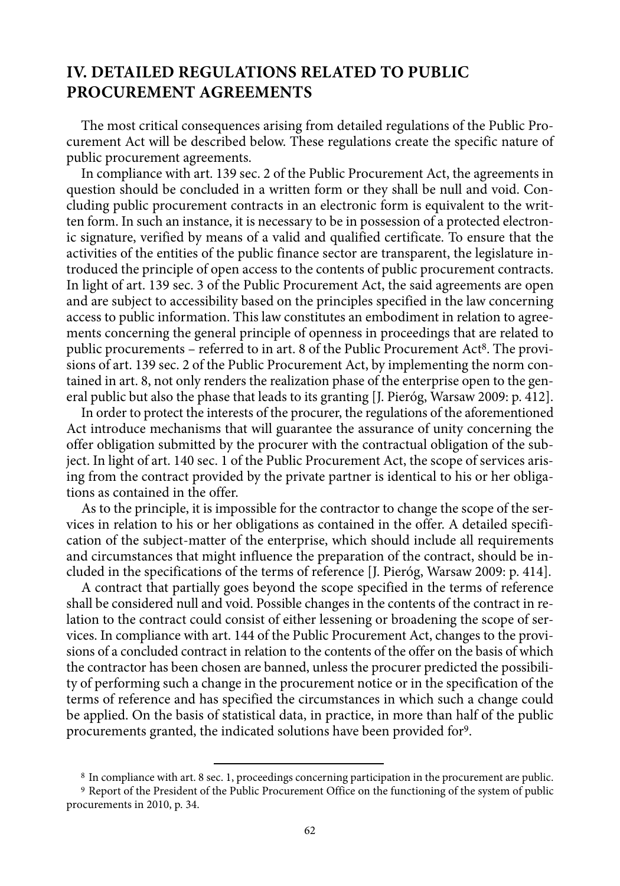#### **IV. DETAILED REGULATIONS RELATED TO PUBLIC PROCUREMENT AGREEMENTS**

The most critical consequences arising from detailed regulations of the Public Procurement Act will be described below. These regulations create the specific nature of public procurement agreements.

In compliance with art. 139 sec. 2 of the Public Procurement Act, the agreements in question should be concluded in a written form or they shall be null and void. Concluding public procurement contracts in an electronic form is equivalent to the written form. In such an instance, it is necessary to be in possession of a protected electronic signature, verified by means of a valid and qualified certificate. To ensure that the activities of the entities of the public finance sector are transparent, the legislature introduced the principle of open access to the contents of public procurement contracts. In light of art. 139 sec. 3 of the Public Procurement Act, the said agreements are open and are subject to accessibility based on the principles specified in the law concerning access to public information. This law constitutes an embodiment in relation to agreements concerning the general principle of openness in proceedings that are related to public procurements – referred to in art. 8 of the Public Procurement Act8. The provisions of art. 139 sec. 2 of the Public Procurement Act, by implementing the norm contained in art. 8, not only renders the realization phase of the enterprise open to the general public but also the phase that leads to its granting [J. Pieróg, Warsaw 2009: p. 412].

In order to protect the interests of the procurer, the regulations of the aforementioned Act introduce mechanisms that will guarantee the assurance of unity concerning the offer obligation submitted by the procurer with the contractual obligation of the subject. In light of art. 140 sec. 1 of the Public Procurement Act, the scope of services arising from the contract provided by the private partner is identical to his or her obligations as contained in the offer.

As to the principle, it is impossible for the contractor to change the scope of the services in relation to his or her obligations as contained in the offer. A detailed specification of the subject-matter of the enterprise, which should include all requirements and circumstances that might influence the preparation of the contract, should be included in the specifications of the terms of reference [J. Pieróg, Warsaw 2009: p. 414].

A contract that partially goes beyond the scope specified in the terms of reference shall be considered null and void. Possible changes in the contents of the contract in relation to the contract could consist of either lessening or broadening the scope of services. In compliance with art. 144 of the Public Procurement Act, changes to the provisions of a concluded contract in relation to the contents of the offer on the basis of which the contractor has been chosen are banned, unless the procurer predicted the possibility of performing such a change in the procurement notice or in the specification of the terms of reference and has specified the circumstances in which such a change could be applied. On the basis of statistical data, in practice, in more than half of the public procurements granted, the indicated solutions have been provided for9.

 $8$  In compliance with art. 8 sec. 1, proceedings concerning participation in the procurement are public.  $9$  Report of the President of the Public Procurement Office on the functioning of the system of public procurements in 2010, p. 34.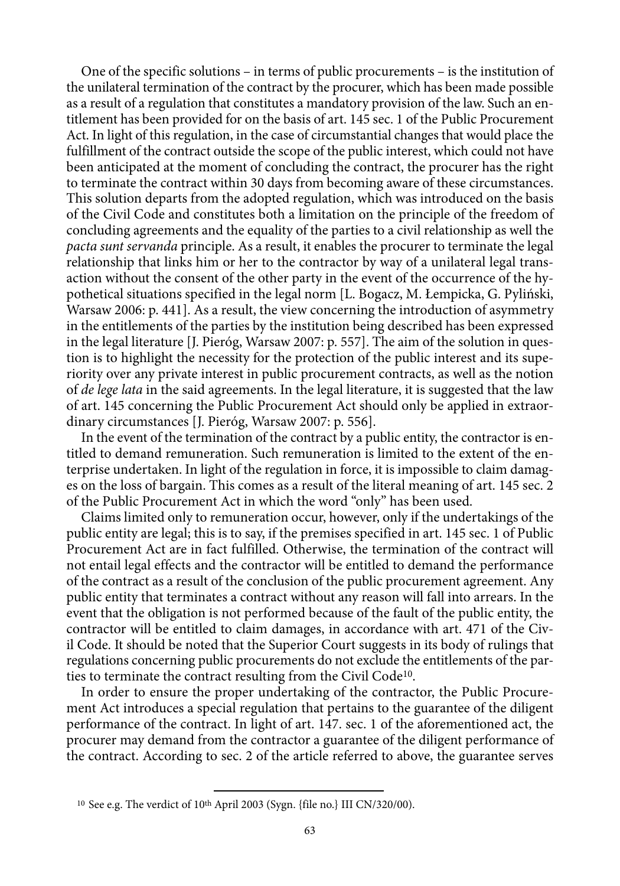One of the specific solutions – in terms of public procurements – is the institution of the unilateral termination of the contract by the procurer, which has been made possible as a result of a regulation that constitutes a mandatory provision of the law. Such an entitlement has been provided for on the basis of art. 145 sec. 1 of the Public Procurement Act. In light of this regulation, in the case of circumstantial changes that would place the fulfillment of the contract outside the scope of the public interest, which could not have been anticipated at the moment of concluding the contract, the procurer has the right to terminate the contract within 30 days from becoming aware of these circumstances. This solution departs from the adopted regulation, which was introduced on the basis of the Civil Code and constitutes both a limitation on the principle of the freedom of concluding agreements and the equality of the parties to a civil relationship as well the *pacta sunt servanda* principle. As a result, it enables the procurer to terminate the legal relationship that links him or her to the contractor by way of a unilateral legal transaction without the consent of the other party in the event of the occurrence of the hypothetical situations specified in the legal norm [L. Bogacz, M. Łempicka, G. Pyliński, Warsaw 2006: p. 441]. As a result, the view concerning the introduction of asymmetry in the entitlements of the parties by the institution being described has been expressed in the legal literature [J. Pieróg, Warsaw 2007: p. 557]. The aim of the solution in question is to highlight the necessity for the protection of the public interest and its superiority over any private interest in public procurement contracts, as well as the notion of *de lege lata* in the said agreements. In the legal literature, it is suggested that the law of art. 145 concerning the Public Procurement Act should only be applied in extraordinary circumstances [J. Pieróg, Warsaw 2007: p. 556].

In the event of the termination of the contract by a public entity, the contractor is entitled to demand remuneration. Such remuneration is limited to the extent of the enterprise undertaken. In light of the regulation in force, it is impossible to claim damages on the loss of bargain. This comes as a result of the literal meaning of art. 145 sec. 2 of the Public Procurement Act in which the word "only" has been used.

Claims limited only to remuneration occur, however, only if the undertakings of the public entity are legal; this is to say, if the premises specified in art. 145 sec. 1 of Public Procurement Act are in fact fulfilled. Otherwise, the termination of the contract will not entail legal effects and the contractor will be entitled to demand the performance of the contract as a result of the conclusion of the public procurement agreement. Any public entity that terminates a contract without any reason will fall into arrears. In the event that the obligation is not performed because of the fault of the public entity, the contractor will be entitled to claim damages, in accordance with art. 471 of the Civil Code. It should be noted that the Superior Court suggests in its body of rulings that regulations concerning public procurements do not exclude the entitlements of the parties to terminate the contract resulting from the Civil Code<sup>10</sup>.

In order to ensure the proper undertaking of the contractor, the Public Procurement Act introduces a special regulation that pertains to the guarantee of the diligent performance of the contract. In light of art. 147. sec. 1 of the aforementioned act, the procurer may demand from the contractor a guarantee of the diligent performance of the contract. According to sec. 2 of the article referred to above, the guarantee serves

<sup>&</sup>lt;sup>10</sup> See e.g. The verdict of 10<sup>th</sup> April 2003 (Sygn. {file no.} III CN/320/00).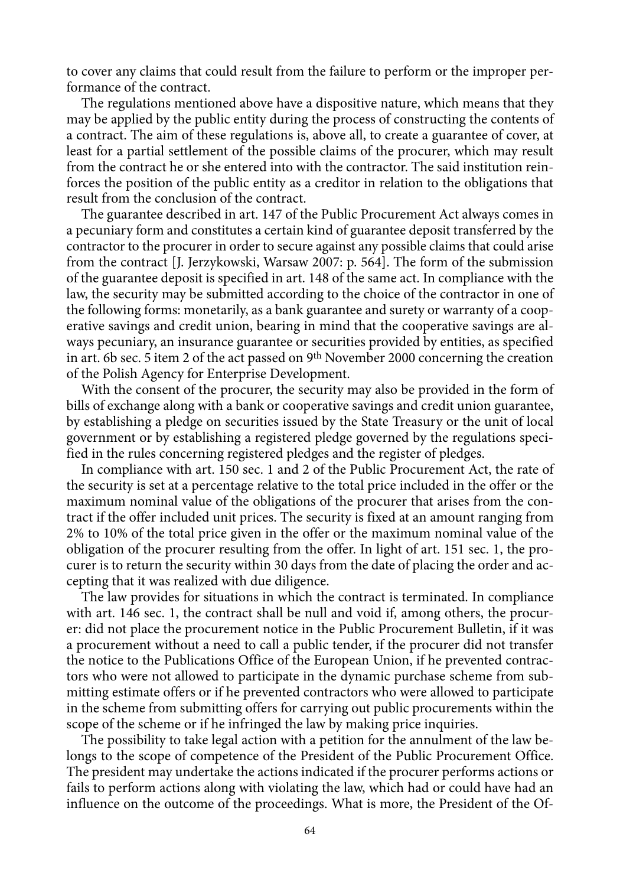to cover any claims that could result from the failure to perform or the improper performance of the contract.

The regulations mentioned above have a dispositive nature, which means that they may be applied by the public entity during the process of constructing the contents of a contract. The aim of these regulations is, above all, to create a guarantee of cover, at least for a partial settlement of the possible claims of the procurer, which may result from the contract he or she entered into with the contractor. The said institution reinforces the position of the public entity as a creditor in relation to the obligations that result from the conclusion of the contract.

The guarantee described in art. 147 of the Public Procurement Act always comes in a pecuniary form and constitutes a certain kind of guarantee deposit transferred by the contractor to the procurer in order to secure against any possible claims that could arise from the contract [J. Jerzykowski, Warsaw 2007: p. 564]. The form of the submission of the guarantee deposit is specified in art. 148 of the same act. In compliance with the law, the security may be submitted according to the choice of the contractor in one of the following forms: monetarily, as a bank guarantee and surety or warranty of a cooperative savings and credit union, bearing in mind that the cooperative savings are always pecuniary, an insurance guarantee or securities provided by entities, as specified in art. 6b sec. 5 item 2 of the act passed on 9th November 2000 concerning the creation of the Polish Agency for Enterprise Development.

With the consent of the procurer, the security may also be provided in the form of bills of exchange along with a bank or cooperative savings and credit union guarantee, by establishing a pledge on securities issued by the State Treasury or the unit of local government or by establishing a registered pledge governed by the regulations specified in the rules concerning registered pledges and the register of pledges.

In compliance with art. 150 sec. 1 and 2 of the Public Procurement Act, the rate of the security is set at a percentage relative to the total price included in the offer or the maximum nominal value of the obligations of the procurer that arises from the contract if the offer included unit prices. The security is fixed at an amount ranging from 2% to 10% of the total price given in the offer or the maximum nominal value of the obligation of the procurer resulting from the offer. In light of art. 151 sec. 1, the procurer is to return the security within 30 days from the date of placing the order and accepting that it was realized with due diligence.

The law provides for situations in which the contract is terminated. In compliance with art. 146 sec. 1, the contract shall be null and void if, among others, the procurer: did not place the procurement notice in the Public Procurement Bulletin, if it was a procurement without a need to call a public tender, if the procurer did not transfer the notice to the Publications Office of the European Union, if he prevented contractors who were not allowed to participate in the dynamic purchase scheme from submitting estimate offers or if he prevented contractors who were allowed to participate in the scheme from submitting offers for carrying out public procurements within the scope of the scheme or if he infringed the law by making price inquiries.

The possibility to take legal action with a petition for the annulment of the law belongs to the scope of competence of the President of the Public Procurement Office. The president may undertake the actions indicated if the procurer performs actions or fails to perform actions along with violating the law, which had or could have had an influence on the outcome of the proceedings. What is more, the President of the Of